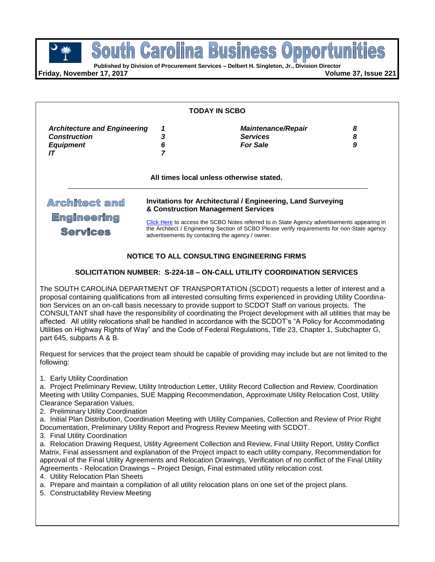$\mathbb{B}$ 

**Published by Division of Procurement Services – Delbert H. Singleton, Jr., Division Director**

**Friday, November 17, 2017 Volume 37, Issue 221**

| <b>TODAY IN SCBO</b>                                                                                     |                                              |                                                                                                                                                                                                                                                                                            |  |
|----------------------------------------------------------------------------------------------------------|----------------------------------------------|--------------------------------------------------------------------------------------------------------------------------------------------------------------------------------------------------------------------------------------------------------------------------------------------|--|
| <b>Architecture and Engineering</b><br>1                                                                 | <b>Maintenance/Repair</b><br><b>Services</b> | 8<br>8                                                                                                                                                                                                                                                                                     |  |
| 6                                                                                                        | <b>For Sale</b>                              | 9                                                                                                                                                                                                                                                                                          |  |
|                                                                                                          |                                              |                                                                                                                                                                                                                                                                                            |  |
| <b>Invitations for Architectural / Engineering, Land Surveying</b><br>& Construction Management Services |                                              |                                                                                                                                                                                                                                                                                            |  |
|                                                                                                          |                                              |                                                                                                                                                                                                                                                                                            |  |
|                                                                                                          | 3                                            | All times local unless otherwise stated.<br>Click Here to access the SCBO Notes referred to in State Agency advertisements appearing in<br>the Architect / Engineering Section of SCBO Please verify requirements for non-State agency<br>advertisements by contacting the agency / owner. |  |

# **SOLICITATION NUMBER: S-224-18 – ON-CALL UTILITY COORDINATION SERVICES**

The SOUTH CAROLINA DEPARTMENT OF TRANSPORTATION (SCDOT) requests a letter of interest and a proposal containing qualifications from all interested consulting firms experienced in providing Utility Coordination Services on an on-call basis necessary to provide support to SCDOT Staff on various projects. The CONSULTANT shall have the responsibility of coordinating the Project development with all utilities that may be affected. All utility relocations shall be handled in accordance with the SCDOT's "A Policy for Accommodating Utilities on Highway Rights of Way" and the Code of Federal Regulations, Title 23, Chapter 1, Subchapter G, part 645, subparts A & B.

Request for services that the project team should be capable of providing may include but are not limited to the following:

1. Early Utility Coordination

a. Project Preliminary Review, Utility Introduction Letter, Utility Record Collection and Review, Coordination Meeting with Utility Companies, SUE Mapping Recommendation, Approximate Utility Relocation Cost, Utility Clearance Separation Values.

2. Preliminary Utility Coordination

a. Initial Plan Distribution, Coordination Meeting with Utility Companies, Collection and Review of Prior Right Documentation, Preliminary Utility Report and Progress Review Meeting with SCDOT.

3. Final Utility Coordination

a. Relocation Drawing Request, Utility Agreement Collection and Review, Final Utility Report, Utility Conflict Matrix, Final assessment and explanation of the Project impact to each utility company, Recommendation for approval of the Final Utility Agreements and Relocation Drawings, Verification of no conflict of the Final Utility Agreements - Relocation Drawings – Project Design, Final estimated utility relocation cost.

4. Utility Relocation Plan Sheets

- a. Prepare and maintain a compilation of all utility relocation plans on one set of the project plans.
- 5. Constructability Review Meeting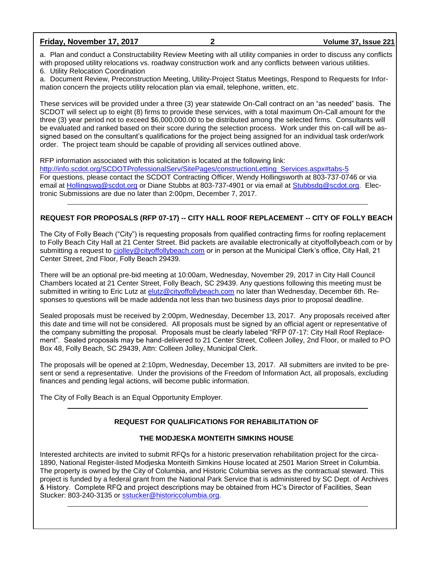#### **Friday, November 17, 2017 2 Volume 37, Issue 221**

a. Plan and conduct a Constructability Review Meeting with all utility companies in order to discuss any conflicts with proposed utility relocations vs. roadway construction work and any conflicts between various utilities.

6. Utility Relocation Coordination

a. Document Review, Preconstruction Meeting, Utility-Project Status Meetings, Respond to Requests for Information concern the projects utility relocation plan via email, telephone, written, etc.

These services will be provided under a three (3) year statewide On-Call contract on an "as needed" basis. The SCDOT will select up to eight (8) firms to provide these services, with a total maximum On-Call amount for the three (3) year period not to exceed \$6,000,000.00 to be distributed among the selected firms. Consultants will be evaluated and ranked based on their score during the selection process. Work under this on-call will be assigned based on the consultant's qualifications for the project being assigned for an individual task order/work order. The project team should be capable of providing all services outlined above.

RFP information associated with this solicitation is located at the following link:

[http://info.scdot.org/SCDOTProfessionalServ/SitePages/constructionLetting\\_Services.aspx#tabs-5](http://info.scdot.org/SCDOTProfessionalServ/SitePages/constructionLetting_Services.aspx#tabs-5) For questions, please contact the SCDOT Contracting Officer, Wendy Hollingsworth at 803-737-0746 or via email at [Hollingswg@scdot.org](mailto:Hollingswg@scdot.org) or Diane Stubbs at 803-737-4901 or via email at [Stubbsdg@scdot.org.](mailto:Stubbsdg@scdot.org) Electronic Submissions are due no later than 2:00pm, December 7, 2017.

# **REQUEST FOR PROPOSALS (RFP 07-17) -- CITY HALL ROOF REPLACEMENT -- CITY OF FOLLY BEACH**

The City of Folly Beach ("City") is requesting proposals from qualified contracting firms for roofing replacement to Folly Beach City Hall at 21 Center Street. Bid packets are available electronically at cityoffollybeach.com or by submitting a request to [cjolley@cityoffollybeach.com](mailto:cjolley@cityoffollybeach.com) or in person at the Municipal Clerk's office, City Hall, 21 Center Street, 2nd Floor, Folly Beach 29439.

There will be an optional pre-bid meeting at 10:00am, Wednesday, November 29, 2017 in City Hall Council Chambers located at 21 Center Street, Folly Beach, SC 29439. Any questions following this meeting must be submitted in writing to Eric Lutz at [elutz@cityoffollybeach.com](mailto:elutz@cityoffollybeach.com) no later than Wednesday, December 6th. Responses to questions will be made addenda not less than two business days prior to proposal deadline.

Sealed proposals must be received by 2:00pm, Wednesday, December 13, 2017. Any proposals received after this date and time will not be considered. All proposals must be signed by an official agent or representative of the company submitting the proposal. Proposals must be clearly labeled "RFP 07-17: City Hall Roof Replacement". Sealed proposals may be hand-delivered to 21 Center Street, Colleen Jolley, 2nd Floor, or mailed to PO Box 48, Folly Beach, SC 29439, Attn: Colleen Jolley, Municipal Clerk.

The proposals will be opened at 2:10pm, Wednesday, December 13, 2017. All submitters are invited to be present or send a representative. Under the provisions of the Freedom of Information Act, all proposals, excluding finances and pending legal actions, will become public information.

The City of Folly Beach is an Equal Opportunity Employer.

# **REQUEST FOR QUALIFICATIONS FOR REHABILITATION OF**

# **THE MODJESKA MONTEITH SIMKINS HOUSE**

Interested architects are invited to submit RFQs for a historic preservation rehabilitation project for the circa-1890, National Register-listed Modjeska Monteith Simkins House located at 2501 Marion Street in Columbia. The property is owned by the City of Columbia, and Historic Columbia serves as the contractual steward. This project is funded by a federal grant from the National Park Service that is administered by SC Dept. of Archives & History. Complete RFQ and project descriptions may be obtained from HC's Director of Facilities, Sean Stucker: 803-240-3135 or [sstucker@historiccolumbia.org.](mailto:sstucker@historiccolumbia.org)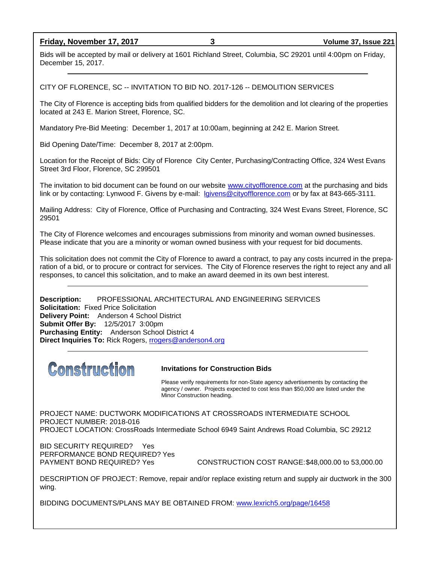**Friday, November 17, 2017 3 Volume 37, Issue 221**

Bids will be accepted by mail or delivery at 1601 Richland Street, Columbia, SC 29201 until 4:00pm on Friday, December 15, 2017.

CITY OF FLORENCE, SC -- INVITATION TO BID NO. 2017-126 -- DEMOLITION SERVICES

The City of Florence is accepting bids from qualified bidders for the demolition and lot clearing of the properties located at 243 E. Marion Street, Florence, SC.

Mandatory Pre-Bid Meeting: December 1, 2017 at 10:00am, beginning at 242 E. Marion Street.

Bid Opening Date/Time: December 8, 2017 at 2:00pm.

Location for the Receipt of Bids: City of Florence City Center, Purchasing/Contracting Office, 324 West Evans Street 3rd Floor, Florence, SC 299501

The invitation to bid document can be found on our website [www.cityofflorence.com](http://www.cityofflorence.com/) at the purchasing and bids link or by contacting: Lynwood F. Givens by e-mail: [lgivens@cityofflorence.com](mailto:lgivens@cityofflorence.com) or by fax at 843-665-3111.

Mailing Address: City of Florence, Office of Purchasing and Contracting, 324 West Evans Street, Florence, SC 29501

The City of Florence welcomes and encourages submissions from minority and woman owned businesses. Please indicate that you are a minority or woman owned business with your request for bid documents.

This solicitation does not commit the City of Florence to award a contract, to pay any costs incurred in the preparation of a bid, or to procure or contract for services. The City of Florence reserves the right to reject any and all responses, to cancel this solicitation, and to make an award deemed in its own best interest.

**Description:** PROFESSIONAL ARCHITECTURAL AND ENGINEERING SERVICES **Solicitation:** Fixed Price Solicitation **Delivery Point:** Anderson 4 School District **Submit Offer By:** 12/5/2017 3:00pm **Purchasing Entity:** Anderson School District 4 **Direct Inquiries To:** Rick Rogers, [rrogers@anderson4.org](mailto:rrogers@anderson4.org)



#### **Invitations for Construction Bids**

Please verify requirements for non-State agency advertisements by contacting the agency / owner. Projects expected to cost less than \$50,000 are listed under the Minor Construction heading.

PROJECT NAME: DUCTWORK MODIFICATIONS AT CROSSROADS INTERMEDIATE SCHOOL PROJECT NUMBER: 2018-016 PROJECT LOCATION: CrossRoads Intermediate School 6949 Saint Andrews Road Columbia, SC 29212

BID SECURITY REQUIRED? Yes PERFORMANCE BOND REQUIRED? Yes

PAYMENT BOND REQUIRED? Yes CONSTRUCTION COST RANGE:\$48,000.00 to 53,000.00

DESCRIPTION OF PROJECT: Remove, repair and/or replace existing return and supply air ductwork in the 300 wing.

BIDDING DOCUMENTS/PLANS MAY BE OBTAINED FROM: [www.lexrich5.org/page/16458](http://www.lexrich5.org/page/16458)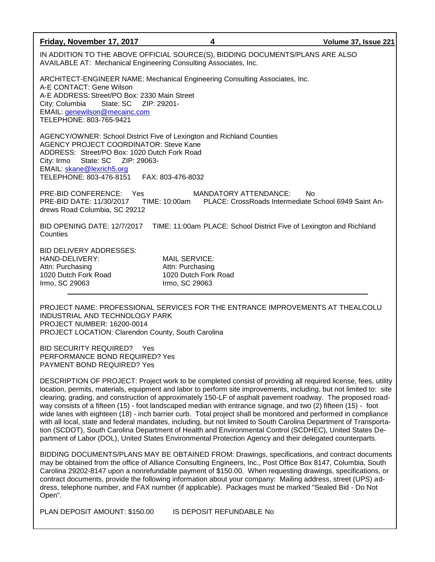| Friday, November 17, 2017                                                                                                                                                                                                                                         | 4                                                                                  | Volume 37, Issue 221                                       |  |  |
|-------------------------------------------------------------------------------------------------------------------------------------------------------------------------------------------------------------------------------------------------------------------|------------------------------------------------------------------------------------|------------------------------------------------------------|--|--|
| IN ADDITION TO THE ABOVE OFFICIAL SOURCE(S), BIDDING DOCUMENTS/PLANS ARE ALSO<br>AVAILABLE AT: Mechanical Engineering Consulting Associates, Inc.                                                                                                                 |                                                                                    |                                                            |  |  |
| ARCHITECT-ENGINEER NAME: Mechanical Engineering Consulting Associates, Inc.<br>A-E CONTACT: Gene Wilson<br>A-E ADDRESS: Street/PO Box: 2330 Main Street<br>City: Columbia<br>State: SC<br>EMAIL: genewilson@mecainc.com<br>TELEPHONE: 803-765-9421                | ZIP: 29201-                                                                        |                                                            |  |  |
| AGENCY/OWNER: School District Five of Lexington and Richland Counties<br><b>AGENCY PROJECT COORDINATOR: Steve Kane</b><br>ADDRESS: Street/PO Box: 1020 Dutch Fork Road<br>City: Irmo<br>EMAIL: skane@lexrich5.org<br>TELEPHONE: 803-476-8151<br>FAX: 803-476-8032 |                                                                                    |                                                            |  |  |
| PRE-BID CONFERENCE: Yes<br>PRE-BID DATE: 11/30/2017<br>drews Road Columbia, SC 29212                                                                                                                                                                              | <b>MANDATORY ATTENDANCE:</b><br>TIME: 10:00am                                      | No<br>PLACE: CrossRoads Intermediate School 6949 Saint An- |  |  |
| BID OPENING DATE: 12/7/2017 TIME: 11:00am PLACE: School District Five of Lexington and Richland<br>Counties                                                                                                                                                       |                                                                                    |                                                            |  |  |
| <b>BID DELIVERY ADDRESSES:</b><br>HAND-DELIVERY:<br>Attn: Purchasing<br>1020 Dutch Fork Road<br>Irmo, SC 29063                                                                                                                                                    | <b>MAIL SERVICE:</b><br>Attn: Purchasing<br>1020 Dutch Fork Road<br>Irmo, SC 29063 |                                                            |  |  |

PROJECT NAME: PROFESSIONAL SERVICES FOR THE ENTRANCE IMPROVEMENTS AT THEALCOLU INDUSTRIAL AND TECHNOLOGY PARK PROJECT NUMBER: 16200-0014 PROJECT LOCATION: Clarendon County, South Carolina

BID SECURITY REQUIRED? Yes PERFORMANCE BOND REQUIRED? Yes PAYMENT BOND REQUIRED? Yes

DESCRIPTION OF PROJECT: Project work to be completed consist of providing all required license, fees, utility location, permits, materials, equipment and labor to perform site improvements, including, but not limited to: site clearing, grading, and construction of approximately 150-LF of asphalt pavement roadway. The proposed roadway consists of a fifteen (15) - foot landscaped median with entrance signage, and two (2) fifteen (15) - foot wide lanes with eighteen (18) - inch barrier curb. Total project shall be monitored and performed in compliance with all local, state and federal mandates, including, but not limited to South Carolina Department of Transportation (SCDOT), South Carolina Department of Health and Environmental Control (SCDHEC), United States Department of Labor (DOL), United States Environmental Protection Agency and their delegated counterparts.

BIDDING DOCUMENTS/PLANS MAY BE OBTAINED FROM: Drawings, specifications, and contract documents may be obtained from the office of Alliance Consulting Engineers, Inc., Post Office Box 8147, Columbia, South Carolina 29202-8147 upon a nonrefundable payment of \$150.00. When requesting drawings, specifications, or contract documents, provide the following information about your company: Mailing address, street (UPS) address, telephone number, and FAX number (if applicable). Packages must be marked "Sealed Bid - Do Not Open".

PLAN DEPOSIT AMOUNT: \$150.00 IS DEPOSIT REFUNDABLE No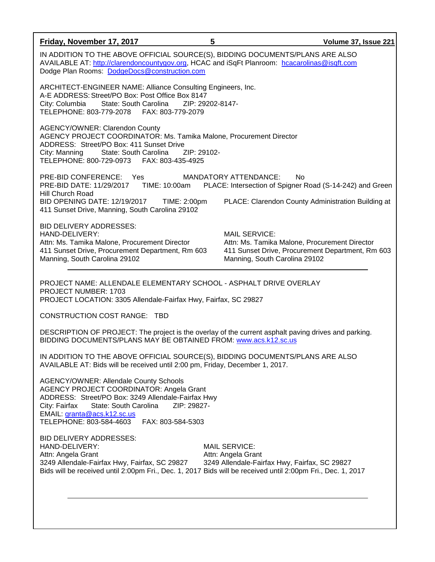| Friday, November 17, 2017                                                                                                                                                                                                                                                               | 5<br>Volume 37, Issue 221                                                                                                                                  |  |  |  |
|-----------------------------------------------------------------------------------------------------------------------------------------------------------------------------------------------------------------------------------------------------------------------------------------|------------------------------------------------------------------------------------------------------------------------------------------------------------|--|--|--|
| IN ADDITION TO THE ABOVE OFFICIAL SOURCE(S), BIDDING DOCUMENTS/PLANS ARE ALSO<br>AVAILABLE AT: http://clarendoncountygov.org, HCAC and iSqFt Planroom: hcacarolinas@isqft.com<br>Dodge Plan Rooms: DodgeDocs@construction.com                                                           |                                                                                                                                                            |  |  |  |
| ARCHITECT-ENGINEER NAME: Alliance Consulting Engineers, Inc.<br>A-E ADDRESS: Street/PO Box: Post Office Box 8147<br>City: Columbia State: South Carolina<br>ZIP: 29202-8147-<br>TELEPHONE: 803-779-2078    FAX: 803-779-2079                                                            |                                                                                                                                                            |  |  |  |
| <b>AGENCY/OWNER: Clarendon County</b><br>AGENCY PROJECT COORDINATOR: Ms. Tamika Malone, Procurement Director<br>ADDRESS: Street/PO Box: 411 Sunset Drive<br>City: Manning<br>State: South Carolina<br>ZIP: 29102-<br>TELEPHONE: 800-729-0973    FAX: 803-435-4925                       |                                                                                                                                                            |  |  |  |
| PRE-BID CONFERENCE: Yes<br><b>MANDATORY ATTENDANCE:</b><br>No<br>PRE-BID DATE: 11/29/2017 TIME: 10:00am PLACE: Intersection of Spigner Road (S-14-242) and Green<br><b>Hill Church Road</b>                                                                                             |                                                                                                                                                            |  |  |  |
| BID OPENING DATE: 12/19/2017 TIME: 2:00pm<br>411 Sunset Drive, Manning, South Carolina 29102                                                                                                                                                                                            | PLACE: Clarendon County Administration Building at                                                                                                         |  |  |  |
| <b>BID DELIVERY ADDRESSES:</b><br>HAND-DELIVERY:<br>Attn: Ms. Tamika Malone, Procurement Director<br>411 Sunset Drive, Procurement Department, Rm 603<br>Manning, South Carolina 29102                                                                                                  | <b>MAIL SERVICE:</b><br>Attn: Ms. Tamika Malone, Procurement Director<br>411 Sunset Drive, Procurement Department, Rm 603<br>Manning, South Carolina 29102 |  |  |  |
| PROJECT NAME: ALLENDALE ELEMENTARY SCHOOL - ASPHALT DRIVE OVERLAY<br><b>PROJECT NUMBER: 1703</b><br>PROJECT LOCATION: 3305 Allendale-Fairfax Hwy, Fairfax, SC 29827                                                                                                                     |                                                                                                                                                            |  |  |  |
| <b>CONSTRUCTION COST RANGE: TBD</b>                                                                                                                                                                                                                                                     |                                                                                                                                                            |  |  |  |
| DESCRIPTION OF PROJECT: The project is the overlay of the current asphalt paving drives and parking.<br>BIDDING DOCUMENTS/PLANS MAY BE OBTAINED FROM: www.acs.k12.sc.us                                                                                                                 |                                                                                                                                                            |  |  |  |
| IN ADDITION TO THE ABOVE OFFICIAL SOURCE(S), BIDDING DOCUMENTS/PLANS ARE ALSO<br>AVAILABLE AT: Bids will be received until 2:00 pm, Friday, December 1, 2017.                                                                                                                           |                                                                                                                                                            |  |  |  |
| <b>AGENCY/OWNER: Allendale County Schools</b><br>AGENCY PROJECT COORDINATOR: Angela Grant<br>ADDRESS: Street/PO Box: 3249 Allendale-Fairfax Hwy<br>State: South Carolina<br>ZIP: 29827-<br>City: Fairfax<br>EMAIL: granta@acs.k12.sc.us<br>TELEPHONE: 803-584-4603<br>FAX: 803-584-5303 |                                                                                                                                                            |  |  |  |
| <b>BID DELIVERY ADDRESSES:</b><br>HAND-DELIVERY:<br>Attn: Angela Grant<br>3249 Allendale-Fairfax Hwy, Fairfax, SC 29827<br>Bids will be received until 2:00pm Fri., Dec. 1, 2017 Bids will be received until 2:00pm Fri., Dec. 1, 2017                                                  | <b>MAIL SERVICE:</b><br>Attn: Angela Grant<br>3249 Allendale-Fairfax Hwy, Fairfax, SC 29827                                                                |  |  |  |
|                                                                                                                                                                                                                                                                                         |                                                                                                                                                            |  |  |  |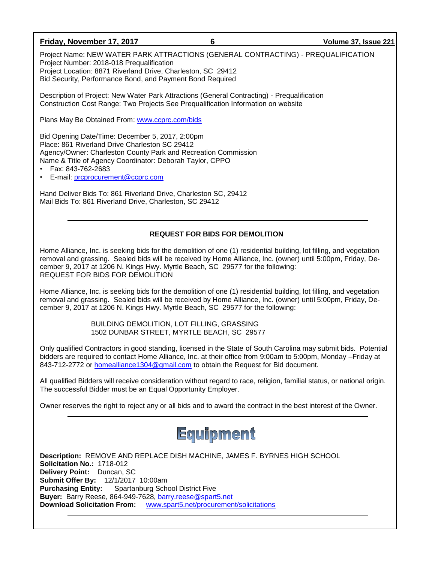## **Friday, November 17, 2017 6 Volume 37, Issue 221**

Project Name: NEW WATER PARK ATTRACTIONS (GENERAL CONTRACTING) - PREQUALIFICATION Project Number: 2018-018 Prequalification Project Location: 8871 Riverland Drive, Charleston, SC 29412 Bid Security, Performance Bond, and Payment Bond Required

Description of Project: New Water Park Attractions (General Contracting) - Prequalification Construction Cost Range: Two Projects See Prequalification Information on website

Plans May Be Obtained From: [www.ccprc.com/bids](http://www.ccprc.com/bids)

Bid Opening Date/Time: December 5, 2017, 2:00pm Place: 861 Riverland Drive Charleston SC 29412 Agency/Owner: Charleston County Park and Recreation Commission Name & Title of Agency Coordinator: Deborah Taylor, CPPO

• Fax: 843-762-2683

• E-mail: [prcprocurement@ccprc.com](mailto:prcprocurement@ccprc.com)

Hand Deliver Bids To: 861 Riverland Drive, Charleston SC, 29412 Mail Bids To: 861 Riverland Drive, Charleston, SC 29412

# **REQUEST FOR BIDS FOR DEMOLITION**

Home Alliance, Inc. is seeking bids for the demolition of one (1) residential building, lot filling, and vegetation removal and grassing. Sealed bids will be received by Home Alliance, Inc. (owner) until 5:00pm, Friday, December 9, 2017 at 1206 N. Kings Hwy. Myrtle Beach, SC 29577 for the following: REQUEST FOR BIDS FOR DEMOLITION

Home Alliance, Inc. is seeking bids for the demolition of one (1) residential building, lot filling, and vegetation removal and grassing. Sealed bids will be received by Home Alliance, Inc. (owner) until 5:00pm, Friday, December 9, 2017 at 1206 N. Kings Hwy. Myrtle Beach, SC 29577 for the following:

> BUILDING DEMOLITION, LOT FILLING, GRASSING 1502 DUNBAR STREET, MYRTLE BEACH, SC 29577

Only qualified Contractors in good standing, licensed in the State of South Carolina may submit bids. Potential bidders are required to contact Home Alliance, Inc. at their office from 9:00am to 5:00pm, Monday –Friday at 843-712-2772 or [homealliance1304@gmail.com](mailto:homealliance1304@gmail.com) to obtain the Request for Bid document.

All qualified Bidders will receive consideration without regard to race, religion, familial status, or national origin. The successful Bidder must be an Equal Opportunity Employer.

Owner reserves the right to reject any or all bids and to award the contract in the best interest of the Owner.

# Equipment

**Description:** REMOVE AND REPLACE DISH MACHINE, JAMES F. BYRNES HIGH SCHOOL **Solicitation No.:** 1718-012 **Delivery Point:** Duncan, SC **Submit Offer By:** 12/1/2017 10:00am **Purchasing Entity:** Spartanburg School District Five **Buyer:** Barry Reese, 864-949-7628, [barry.reese@spart5.net](mailto:barry.reese@spart5.net) **Download Solicitation From:** [www.spart5.net/procurement/solicitations](http://www.spart5.net/procurement/solicitations)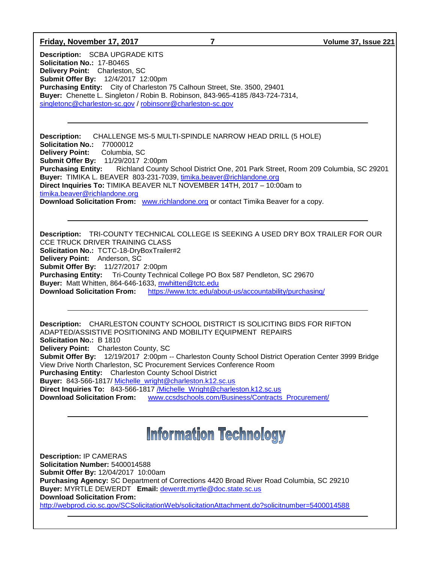#### **Friday, November 17, 2017 7 Volume 37, Issue 221**

**Description:** SCBA UPGRADE KITS **Solicitation No.:** 17-B046S **Delivery Point:** Charleston, SC **Submit Offer By:** 12/4/2017 12:00pm **Purchasing Entity:** City of Charleston 75 Calhoun Street, Ste. 3500, 29401 **Buyer:** Chenette L. Singleton / Robin B. Robinson, 843-965-4185 /843-724-7314, [singletonc@charleston-sc.gov](mailto:singletonc@charleston-sc.gov) / [robinsonr@charleston-sc.gov](mailto:robinsonr@charleston-sc.gov)

**Description:** CHALLENGE MS-5 MULTI-SPINDLE NARROW HEAD DRILL (5 HOLE) **Solicitation No.:** 77000012 **Delivery Point:** Columbia, SC **Submit Offer By:** 11/29/2017 2:00pm **Purchasing Entity:** Richland County School District One, 201 Park Street, Room 209 Columbia, SC 29201 **Buyer:** TIMIKA L. BEAVER 803-231-7039, [timika.beaver@richlandone.org](mailto:timika.beaver@richlandone.org) **Direct Inquiries To:** TIMIKA BEAVER NLT NOVEMBER 14TH, 2017 – 10:00am to [timika.beaver@richlandone.org](mailto:timika.beaver@richlandone.org) **Download Solicitation From:** [www.richlandone.org](http://www.richlandone.org/) or contact Timika Beaver for a copy.

**Description:** TRI-COUNTY TECHNICAL COLLEGE IS SEEKING A USED DRY BOX TRAILER FOR OUR CCE TRUCK DRIVER TRAINING CLASS **Solicitation No.:** TCTC-18-DryBoxTrailer#2 **Delivery Point:** Anderson, SC **Submit Offer By:** 11/27/2017 2:00pm **Purchasing Entity:** Tri-County Technical College PO Box 587 Pendleton, SC 29670 **Buyer:** Matt Whitten, 864-646-1633, [mwhitten@tctc.edu](mailto:mwhitten@tctc.edu) **Download Solicitation From:** <https://www.tctc.edu/about-us/accountability/purchasing/>

**Description:** CHARLESTON COUNTY SCHOOL DISTRICT IS SOLICITING BIDS FOR RIFTON ADAPTED/ASSISTIVE POSITIONING AND MOBILITY EQUIPMENT REPAIRS **Solicitation No.:** B 1810 **Delivery Point:** Charleston County, SC **Submit Offer By:** 12/19/2017 2:00pm -- Charleston County School District Operation Center 3999 Bridge View Drive North Charleston, SC Procurement Services Conference Room **Purchasing Entity:** Charleston County School District **Buyer:** 843-566-1817/ [Michelle\\_wright@charleston.k12.sc.us](mailto:Michelle_wright@charleston.k12.sc.us) **Direct Inquiries To:** 843-566-1817 [/Michelle\\_Wright@charleston.k12.sc.us](mailto:/Michelle_Wright@charleston.k12.sc.us)  **Download Solicitation From:** [www.ccsdschools.com/Business/Contracts\\_Procurement/](http://www.ccsdschools.com/Business/Contracts_Procurement/)

# **Information Technology**

**Description:** IP CAMERAS **Solicitation Number:** 5400014588 **Submit Offer By:** 12/04/2017 10:00am **Purchasing Agency:** SC Department of Corrections 4420 Broad River Road Columbia, SC 29210 **Buyer:** MYRTLE DEWERDT **Email:** [dewerdt.myrtle@doc.state.sc.us](mailto:dewerdt.myrtle@doc.state.sc.us) **Download Solicitation From:**  <http://webprod.cio.sc.gov/SCSolicitationWeb/solicitationAttachment.do?solicitnumber=5400014588>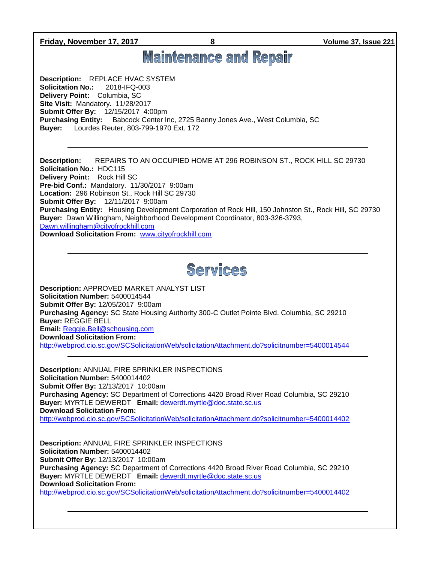**Friday, November 17, 2017 8 Volume 37, Issue 221**

# **Maintenance and Repair**

**Description:** REPLACE HVAC SYSTEM **Solicitation No.:** 2018-IFQ-003 **Delivery Point:** Columbia, SC **Site Visit:** Mandatory. 11/28/2017 **Submit Offer By:** 12/15/2017 4:00pm **Purchasing Entity:** Babcock Center Inc, 2725 Banny Jones Ave., West Columbia, SC **Buyer:** Lourdes Reuter, 803-799-1970 Ext. 172

**Description:** REPAIRS TO AN OCCUPIED HOME AT 296 ROBINSON ST., ROCK HILL SC 29730 **Solicitation No.:** HDC115 **Delivery Point:** Rock Hill SC **Pre-bid Conf.:** Mandatory. 11/30/2017 9:00am **Location:** 296 Robinson St., Rock Hill SC 29730 **Submit Offer By:** 12/11/2017 9:00am **Purchasing Entity:** Housing Development Corporation of Rock Hill, 150 Johnston St., Rock Hill, SC 29730 **Buyer:** Dawn Willingham, Neighborhood Development Coordinator, 803-326-3793, [Dawn.willingham@cityofrockhill.com](mailto:Dawn.willingham@cityofrockhill.com) **Download Solicitation From:** [www.cityofrockhill.com](http://www.cityofrockhill.com/)



**Description:** APPROVED MARKET ANALYST LIST **Solicitation Number:** 5400014544 **Submit Offer By:** 12/05/2017 9:00am **Purchasing Agency:** SC State Housing Authority 300-C Outlet Pointe Blvd. Columbia, SC 29210 **Buyer:** REGGIE BELL **Email:** [Reggie.Bell@schousing.com](mailto:Reggie.Bell@schousing.com) **Download Solicitation From:**  <http://webprod.cio.sc.gov/SCSolicitationWeb/solicitationAttachment.do?solicitnumber=5400014544>

**Description:** ANNUAL FIRE SPRINKLER INSPECTIONS **Solicitation Number:** 5400014402 **Submit Offer By:** 12/13/2017 10:00am **Purchasing Agency:** SC Department of Corrections 4420 Broad River Road Columbia, SC 29210 **Buyer:** MYRTLE DEWERDT **Email:** [dewerdt.myrtle@doc.state.sc.us](mailto:dewerdt.myrtle@doc.state.sc.us) **Download Solicitation From:**  <http://webprod.cio.sc.gov/SCSolicitationWeb/solicitationAttachment.do?solicitnumber=5400014402>

**Description:** ANNUAL FIRE SPRINKLER INSPECTIONS **Solicitation Number:** 5400014402 **Submit Offer By:** 12/13/2017 10:00am **Purchasing Agency:** SC Department of Corrections 4420 Broad River Road Columbia, SC 29210 **Buyer:** MYRTLE DEWERDT **Email:** [dewerdt.myrtle@doc.state.sc.us](mailto:dewerdt.myrtle@doc.state.sc.us) **Download Solicitation From:**  <http://webprod.cio.sc.gov/SCSolicitationWeb/solicitationAttachment.do?solicitnumber=5400014402>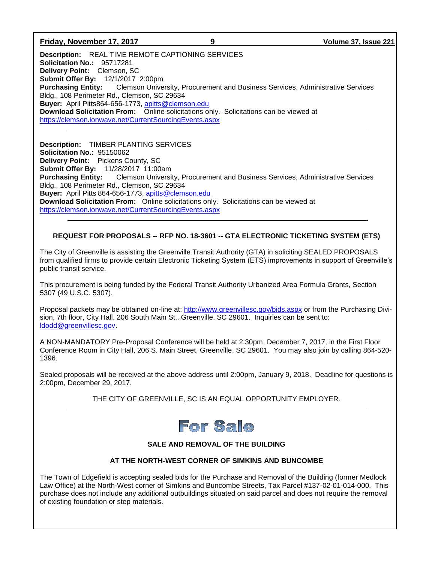# **Friday, November 17, 2017 9 Volume 37, Issue 221**

**Description:** REAL TIME REMOTE CAPTIONING SERVICES **Solicitation No.:** 95717281 **Delivery Point:** Clemson, SC **Submit Offer By:** 12/1/2017 2:00pm **Purchasing Entity:** Clemson University, Procurement and Business Services, Administrative Services Bldg., 108 Perimeter Rd., Clemson, SC 29634 **Buyer:** April Pitts864-656-1773, [apitts@clemson.edu](mailto:apitts@clemson.edu) **Download Solicitation From:** Online solicitations only. Solicitations can be viewed at <https://clemson.ionwave.net/CurrentSourcingEvents.aspx>

**Description:** TIMBER PLANTING SERVICES **Solicitation No.:** 95150062 **Delivery Point:** Pickens County, SC **Submit Offer By:** 11/28/2017 11:00am **Purchasing Entity:** Clemson University, Procurement and Business Services, Administrative Services Bldg., 108 Perimeter Rd., Clemson, SC 29634 **Buyer:** April Pitts 864-656-1773, [apitts@clemson.edu](mailto:apitts@clemson.edu) **Download Solicitation From:** Online solicitations only. Solicitations can be viewed at <https://clemson.ionwave.net/CurrentSourcingEvents.aspx>

# **REQUEST FOR PROPOSALS -- RFP NO. 18-3601 -- GTA ELECTRONIC TICKETING SYSTEM (ETS)**

The City of Greenville is assisting the Greenville Transit Authority (GTA) in soliciting SEALED PROPOSALS from qualified firms to provide certain Electronic Ticketing System (ETS) improvements in support of Greenville's public transit service.

This procurement is being funded by the Federal Transit Authority Urbanized Area Formula Grants, Section 5307 (49 U.S.C. 5307).

Proposal packets may be obtained on-line at:<http://www.greenvillesc.gov/bids.aspx> or from the Purchasing Division, 7th floor, City Hall, 206 South Main St., Greenville, SC 29601. Inquiries can be sent to: [ldodd@greenvillesc.gov.](mailto:ldodd@greenvillesc.gov)

A NON-MANDATORY Pre-Proposal Conference will be held at 2:30pm, December 7, 2017, in the First Floor Conference Room in City Hall, 206 S. Main Street, Greenville, SC 29601. You may also join by calling 864-520- 1396.

Sealed proposals will be received at the above address until 2:00pm, January 9, 2018. Deadline for questions is 2:00pm, December 29, 2017.

# THE CITY OF GREENVILLE, SC IS AN EQUAL OPPORTUNITY EMPLOYER.



# **SALE AND REMOVAL OF THE BUILDING**

# **AT THE NORTH-WEST CORNER OF SIMKINS AND BUNCOMBE**

The Town of Edgefield is accepting sealed bids for the Purchase and Removal of the Building (former Medlock Law Office) at the North-West corner of Simkins and Buncombe Streets, Tax Parcel #137-02-01-014-000. This purchase does not include any additional outbuildings situated on said parcel and does not require the removal of existing foundation or step materials.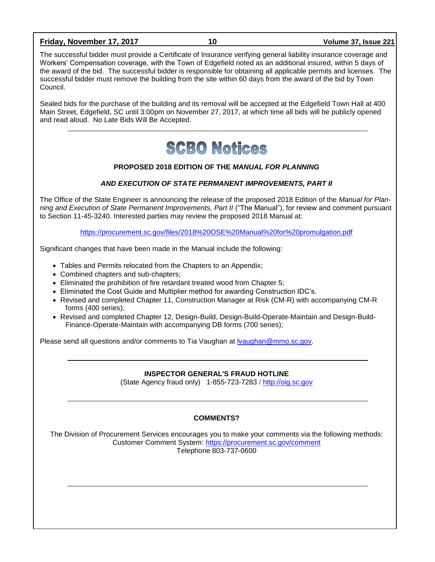## **Friday, November 17, 2017 10 Volume 37, Issue 221**

The successful bidder must provide a Certificate of Insurance verifying general liability insurance coverage and Workers' Compensation coverage, with the Town of Edgefield noted as an additional insured, within 5 days of the award of the bid. The successful bidder is responsible for obtaining all applicable permits and licenses. The successful bidder must remove the building from the site within 60 days from the award of the bid by Town Council.

Sealed bids for the purchase of the building and its removal will be accepted at the Edgefield Town Hall at 400 Main Street, Edgefield, SC until 3:00pm on November 27, 2017, at which time all bids will be publicly opened and read aloud. No Late Bids Will Be Accepted.



#### **PROPOSED 2018 EDITION OF THE** *MANUAL FOR PLANNING*

#### *AND EXECUTION OF STATE PERMANENT IMPROVEMENTS, PART II*

The Office of the State Engineer is announcing the release of the proposed 2018 Edition of the *Manual for Planning and Execution of State Permanent Improvements, Part II* ("The Manual"), for review and comment pursuant to Section 11-45-3240. Interested parties may review the proposed 2018 Manual at:

<https://procurement.sc.gov/files/2018%20OSE%20Manual%20for%20promulgation.pdf>

Significant changes that have been made in the Manual include the following:

- Tables and Permits relocated from the Chapters to an Appendix;
- Combined chapters and sub-chapters;
- Eliminated the prohibition of fire retardant treated wood from Chapter 5:
- Eliminated the Cost Guide and Multiplier method for awarding Construction IDC's.
- Revised and completed Chapter 11, Construction Manager at Risk (CM-R) with accompanying CM-R forms (400 series);
- Revised and completed Chapter 12, Design-Build, Design-Build-Operate-Maintain and Design-Build-Finance-Operate-Maintain with accompanying DB forms (700 series);

Please send all questions and/or comments to Tia Vaughan at Ivaughan@mmo.sc.gov.

#### **INSPECTOR GENERAL'S FRAUD HOTLINE**

(State Agency fraud only) 1-855-723-7283 / [http://oig.sc.gov](http://oig.sc.gov/)

#### **COMMENTS?**

The Division of Procurement Services encourages you to make your comments via the following methods: Customer Comment System:<https://procurement.sc.gov/comment> Telephone 803-737-0600